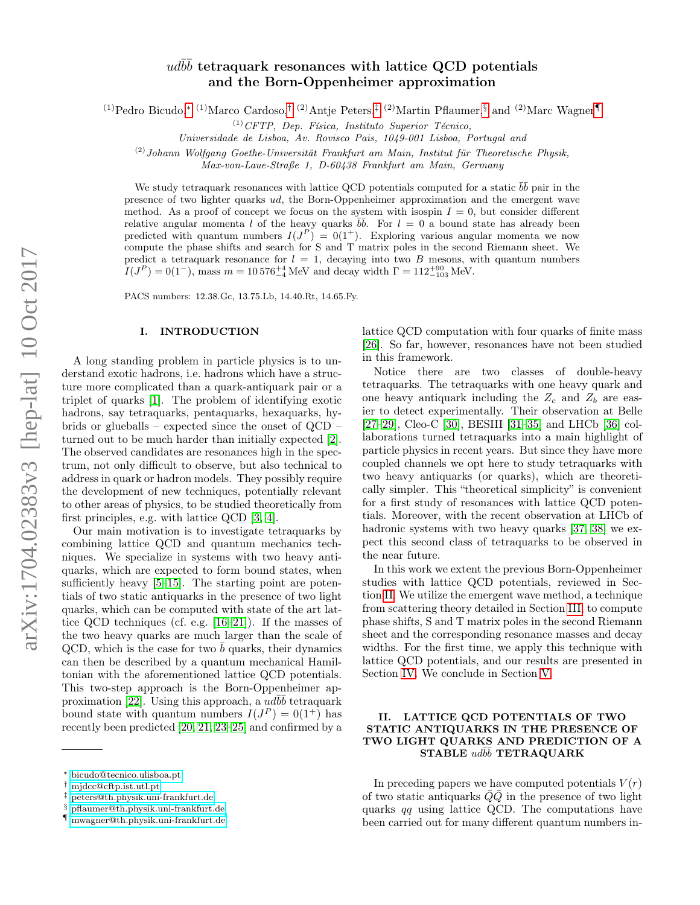# $ud \bar b \bar b$  tetraquark resonances with lattice QCD potentials and the Born-Oppenheimer approximation

(1)Pedro Bicudo,<sup>\*</sup> (1)Marco Cardoso,<sup>[†](#page-0-1) (2)</sup>Antje Peters,<sup>[‡](#page-0-2) (2)</sup>Martin Pflaumer,<sup>[§](#page-0-3)</sup> and <sup>(2)</sup>Marc Wagner

 $^{(1)}CFTP$ , Dep. Física, Instituto Superior Técnico,

Universidade de Lisboa, Av. Rovisco Pais, 1049-001 Lisboa, Portugal and

 $(2)$ Johann Wolfgang Goethe-Universität Frankfurt am Main, Institut für Theoretische Physik,

Max-von-Laue-Straße 1, D-60438 Frankfurt am Main, Germany

We study tetraquark resonances with lattice QCD potentials computed for a static  $b\bar{b}$  pair in the presence of two lighter quarks ud, the Born-Oppenheimer approximation and the emergent wave method. As a proof of concept we focus on the system with isospin  $I = 0$ , but consider different relative angular momenta l of the heavy quarks  $\overline{b}\overline{b}$ . For  $l = 0$  a bound state has already been predicted with quantum numbers  $I(J^P) = 0(1^+)$ . Exploring various angular momenta we now compute the phase shifts and search for S and T matrix poles in the second Riemann sheet. We predict a tetraquark resonance for  $l = 1$ , decaying into two B mesons, with quantum numbers  $I(J^P) = 0(1^-)$ , mass  $m = 10576^{+4}_{-4}$  MeV and decay width  $\Gamma = 112^{+90}_{-103}$  MeV.

PACS numbers: 12.38.Gc, 13.75.Lb, 14.40.Rt, 14.65.Fy.

### I. INTRODUCTION

A long standing problem in particle physics is to understand exotic hadrons, i.e. hadrons which have a structure more complicated than a quark-antiquark pair or a triplet of quarks [\[1\]](#page-5-0). The problem of identifying exotic hadrons, say tetraquarks, pentaquarks, hexaquarks, hybrids or glueballs – expected since the onset of QCD – turned out to be much harder than initially expected [\[2\]](#page-5-1). The observed candidates are resonances high in the spectrum, not only difficult to observe, but also technical to address in quark or hadron models. They possibly require the development of new techniques, potentially relevant to other areas of physics, to be studied theoretically from first principles, e.g. with lattice QCD [\[3,](#page-5-2) [4\]](#page-5-3).

Our main motivation is to investigate tetraquarks by combining lattice QCD and quantum mechanics techniques. We specialize in systems with two heavy antiquarks, which are expected to form bound states, when sufficiently heavy [\[5](#page-5-4)[–15\]](#page-5-5). The starting point are potentials of two static antiquarks in the presence of two light quarks, which can be computed with state of the art lattice QCD techniques (cf. e.g. [\[16–](#page-5-6)[21\]](#page-5-7)). If the masses of the two heavy quarks are much larger than the scale of QCD, which is the case for two  $\bar{b}$  quarks, their dynamics can then be described by a quantum mechanical Hamiltonian with the aforementioned lattice QCD potentials. This two-step approach is the Born-Oppenheimer ap-proximation [\[22\]](#page-5-8). Using this approach, a  $\overline{u}d\overline{b}\overline{b}$  tetraquark bound state with quantum numbers  $I(J^P) = 0(1^+)$  has recently been predicted [\[20,](#page-5-9) [21,](#page-5-7) [23](#page-5-10)[–25\]](#page-5-11) and confirmed by a

lattice QCD computation with four quarks of finite mass [\[26\]](#page-5-12). So far, however, resonances have not been studied in this framework.

Notice there are two classes of double-heavy tetraquarks. The tetraquarks with one heavy quark and one heavy antiquark including the  $Z_c$  and  $Z_b$  are easier to detect experimentally. Their observation at Belle [\[27–](#page-6-0)[29\]](#page-6-1), Cleo-C [\[30\]](#page-6-2), BESIII [\[31](#page-6-3)[–35\]](#page-6-4) and LHCb [\[36\]](#page-6-5) collaborations turned tetraquarks into a main highlight of particle physics in recent years. But since they have more coupled channels we opt here to study tetraquarks with two heavy antiquarks (or quarks), which are theoretically simpler. This "theoretical simplicity" is convenient for a first study of resonances with lattice QCD potentials. Moreover, with the recent observation at LHCb of hadronic systems with two heavy quarks [\[37,](#page-6-6) [38\]](#page-6-7) we expect this second class of tetraquarks to be observed in the near future.

In this work we extent the previous Born-Oppenheimer studies with lattice QCD potentials, reviewed in Section [II.](#page-0-5) We utilize the emergent wave method, a technique from scattering theory detailed in Section [III,](#page-2-0) to compute phase shifts, S and T matrix poles in the second Riemann sheet and the corresponding resonance masses and decay widths. For the first time, we apply this technique with lattice QCD potentials, and our results are presented in Section [IV.](#page-3-0) We conclude in Section [V.](#page-4-0)

# <span id="page-0-5"></span>II. LATTICE QCD POTENTIALS OF TWO STATIC ANTIQUARKS IN THE PRESENCE OF TWO LIGHT QUARKS AND PREDICTION OF A  $\textbf{STABLE}\text{ }\textit{ud}\bar{\textit{b}\bar{\textit{b}}}\text{ }\textbf{TETRAQUARK}$

In preceding papers we have computed potentials  $V(r)$ of two static antiquarks  $\overline{Q}\overline{Q}$  in the presence of two light quarks qq using lattice QCD. The computations have been carried out for many different quantum numbers in-

<span id="page-0-0"></span><sup>∗</sup> [bicudo@tecnico.ulisboa.pt](mailto:bicudo@tecnico.ulisboa.pt)

<span id="page-0-1"></span><sup>†</sup> [mjdcc@cftp.ist.utl.pt](mailto:mjdcc@cftp.ist.utl.pt)

<span id="page-0-2"></span><sup>‡</sup> [peters@th.physik.uni-frankfurt.de](mailto:peters@th.physik.uni-frankfurt.de)

<span id="page-0-3"></span><sup>§</sup> [pflaumer@th.physik.uni-frankfurt.de](mailto:pflaumer@th.physik.uni-frankfurt.de)

<span id="page-0-4"></span><sup>¶</sup> [mwagner@th.physik.uni-frankfurt.de](mailto:mwagner@th.physik.uni-frankfurt.de)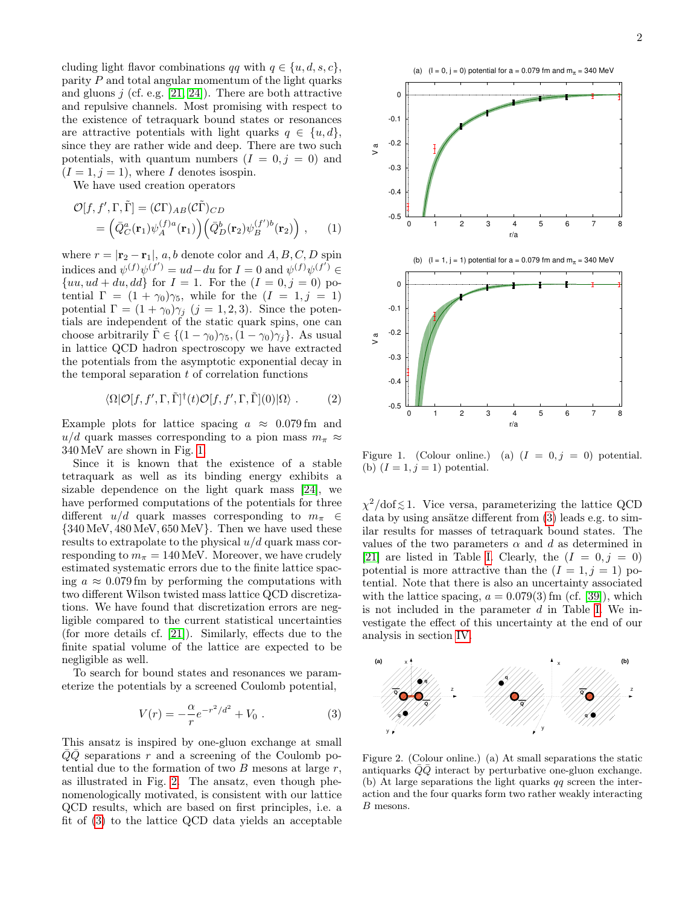cluding light flavor combinations qq with  $q \in \{u, d, s, c\},\$ parity  $P$  and total angular momentum of the light quarks and gluons  $j$  (cf. e.g. [\[21,](#page-5-7) [24\]](#page-5-13)). There are both attractive and repulsive channels. Most promising with respect to the existence of tetraquark bound states or resonances are attractive potentials with light quarks  $q \in \{u, d\},\$ since they are rather wide and deep. There are two such potentials, with quantum numbers  $(I = 0, j = 0)$  and  $(I = 1, j = 1)$ , where I denotes isospin.

We have used creation operators

$$
\mathcal{O}[f, f', \Gamma, \tilde{\Gamma}] = (\mathcal{C}\Gamma)_{AB} (\mathcal{C}\tilde{\Gamma})_{CD} \n= (\bar{Q}_C^a(\mathbf{r}_1)\psi_A^{(f)a}(\mathbf{r}_1)) (\bar{Q}_D^b(\mathbf{r}_2)\psi_B^{(f')b}(\mathbf{r}_2)), \quad (1)
$$

where  $r = |\mathbf{r}_2 - \mathbf{r}_1|$ , a, b denote color and  $A, B, C, D$  spin indices and  $\psi^{(f)}\psi^{(f')} = ud - du$  for  $I = 0$  and  $\psi^{(f)}\psi^{(f')} \in$  $\{uu, ud + du, dd\}$  for  $I = 1$ . For the  $(I = 0, j = 0)$  potential  $\Gamma = (1 + \gamma_0)\gamma_5$ , while for the  $(I = 1, j = 1)$ potential  $\Gamma = (1 + \gamma_0)\gamma_j$   $(j = 1, 2, 3)$ . Since the potentials are independent of the static quark spins, one can choose arbitrarily  $\Gamma \in \{(1-\gamma_0)\gamma_5, (1-\gamma_0)\gamma_i\}$ . As usual in lattice QCD hadron spectroscopy we have extracted the potentials from the asymptotic exponential decay in the temporal separation  $t$  of correlation functions

<span id="page-1-3"></span>
$$
\langle \Omega | \mathcal{O}[f, f', \Gamma, \tilde{\Gamma}]^{\dagger}(t) \mathcal{O}[f, f', \Gamma, \tilde{\Gamma}] (0) | \Omega \rangle . \tag{2}
$$

Example plots for lattice spacing  $a \approx 0.079$  fm and  $u/d$  quark masses corresponding to a pion mass  $m_\pi \approx$ 340 MeV are shown in Fig. [1.](#page-1-0)

Since it is known that the existence of a stable tetraquark as well as its binding energy exhibits a sizable dependence on the light quark mass [\[24\]](#page-5-13), we have performed computations of the potentials for three different  $u/d$  quark masses corresponding to  $m_\pi \in$  ${340 \,\text{MeV}, 480 \,\text{MeV}, 650 \,\text{MeV}}$ . Then we have used these results to extrapolate to the physical  $u/d$  quark mass corresponding to  $m_{\pi} = 140 \text{ MeV}$ . Moreover, we have crudely estimated systematic errors due to the finite lattice spacing  $a \approx 0.079$  fm by performing the computations with two different Wilson twisted mass lattice QCD discretizations. We have found that discretization errors are negligible compared to the current statistical uncertainties (for more details cf. [\[21\]](#page-5-7)). Similarly, effects due to the finite spatial volume of the lattice are expected to be negligible as well.

To search for bound states and resonances we parameterize the potentials by a screened Coulomb potential,

<span id="page-1-2"></span>
$$
V(r) = -\frac{\alpha}{r}e^{-r^2/d^2} + V_0.
$$
 (3)

This ansatz is inspired by one-gluon exchange at small  $\overline{Q}\overline{Q}$  separations r and a screening of the Coulomb potential due to the formation of two  $B$  mesons at large  $r$ , as illustrated in Fig. [2.](#page-1-1) The ansatz, even though phenomenologically motivated, is consistent with our lattice QCD results, which are based on first principles, i.e. a fit of [\(3\)](#page-1-2) to the lattice QCD data yields an acceptable





<span id="page-1-0"></span>Figure 1. (Colour online.) (a)  $(I = 0, j = 0)$  potential. (b)  $(I = 1, j = 1)$  potential.

 $\chi^2/\text{dof} \lesssim 1$ . Vice versa, parameterizing the lattice QCD data by using ansätze different from [\(3\)](#page-1-2) leads e.g. to similar results for masses of tetraquark bound states. The values of the two parameters  $\alpha$  and d as determined in [\[21\]](#page-5-7) are listed in Table [I.](#page-2-1) Clearly, the  $(I = 0, j = 0)$ potential is more attractive than the  $(I = 1, j = 1)$  potential. Note that there is also an uncertainty associated with the lattice spacing,  $a = 0.079(3)$  fm (cf. [\[39\]](#page-6-8)), which is not included in the parameter  $d$  in Table [I.](#page-2-1) We investigate the effect of this uncertainty at the end of our analysis in section [IV.](#page-3-0)



<span id="page-1-1"></span>Figure 2. (Colour online.) (a) At small separations the static antiquarks  $QQ$  interact by perturbative one-gluon exchange. (b) At large separations the light quarks  $q\bar{q}$  screen the interaction and the four quarks form two rather weakly interacting B mesons.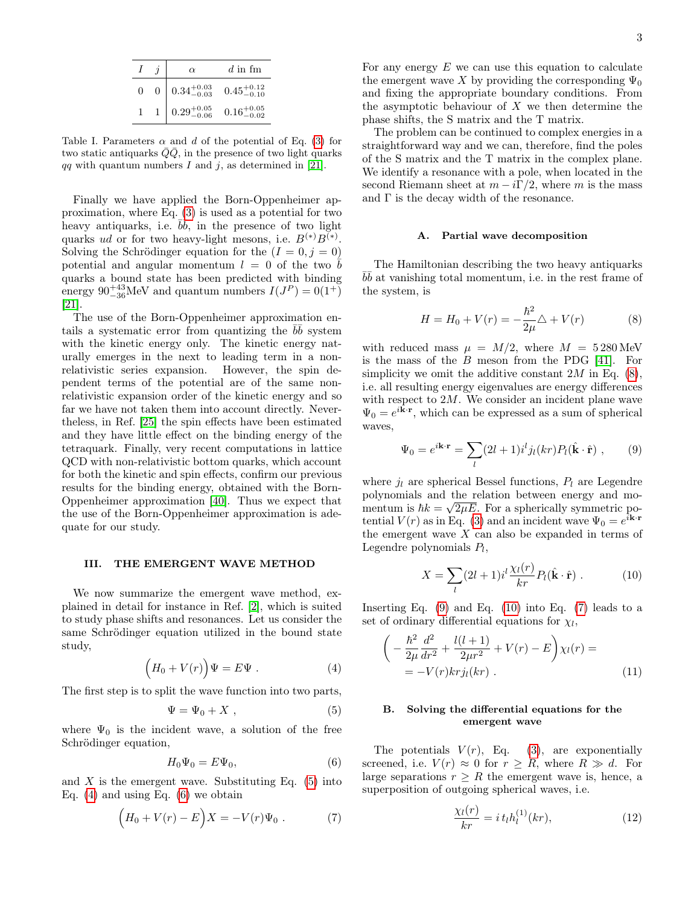|   |   | $\alpha$               | $d$ in fm              |
|---|---|------------------------|------------------------|
| 0 | 0 | $0.34^{+0.03}_{-0.03}$ | $0.45^{+0.12}_{-0.10}$ |
|   |   | $0.29^{+0.05}_{-0.06}$ | $0.16^{+0.05}_{-0.02}$ |

<span id="page-2-1"></span>Table I. Parameters  $\alpha$  and d of the potential of Eq. [\(3\)](#page-1-2) for two static antiquarks  $QQ$ , in the presence of two light quarks qq with quantum numbers I and j, as determined in [\[21\]](#page-5-7).

Finally we have applied the Born-Oppenheimer approximation, where Eq. [\(3\)](#page-1-2) is used as a potential for two heavy antiquarks, i.e.  $\overrightarrow{b\overrightarrow{b}}$ , in the presence of two light quarks ud or for two heavy-light mesons, i.e.  $B^{(*)}B^{(*)}$ . Solving the Schrödinger equation for the  $(I = 0, j = 0)$ potential and angular momentum  $l = 0$  of the two b quarks a bound state has been predicted with binding energy  $90^{+43}_{-36}$ MeV and quantum numbers  $I(J^P) = 0(1^+)$ [\[21\]](#page-5-7).

The use of the Born-Oppenheimer approximation entails a systematic error from quantizing the  $b\bar{b}$  system with the kinetic energy only. The kinetic energy naturally emerges in the next to leading term in a nonrelativistic series expansion. However, the spin dependent terms of the potential are of the same nonrelativistic expansion order of the kinetic energy and so far we have not taken them into account directly. Nevertheless, in Ref. [\[25\]](#page-5-11) the spin effects have been estimated and they have little effect on the binding energy of the tetraquark. Finally, very recent computations in lattice QCD with non-relativistic bottom quarks, which account for both the kinetic and spin effects, confirm our previous results for the binding energy, obtained with the Born-Oppenheimer approximation [\[40\]](#page-6-9). Thus we expect that the use of the Born-Oppenheimer approximation is adequate for our study.

## <span id="page-2-0"></span>III. THE EMERGENT WAVE METHOD

We now summarize the emergent wave method, explained in detail for instance in Ref. [\[2\]](#page-5-1), which is suited to study phase shifts and resonances. Let us consider the same Schrödinger equation utilized in the bound state study,

<span id="page-2-3"></span>
$$
(H_0 + V(r))\Psi = E\Psi . \qquad (4)
$$

The first step is to split the wave function into two parts,

<span id="page-2-2"></span>
$$
\Psi = \Psi_0 + X \t{, \t(5)}
$$

where  $\Psi_0$  is the incident wave, a solution of the free Schrödinger equation,

<span id="page-2-4"></span>
$$
H_0\Psi_0 = E\Psi_0,\t\t(6)
$$

and  $X$  is the emergent wave. Substituting Eq. [\(5\)](#page-2-2) into Eq.  $(4)$  and using Eq.  $(6)$  we obtain

<span id="page-2-8"></span>
$$
(H_0 + V(r) - E)X = -V(r)\Psi_0.
$$
 (7)

For any energy  $E$  we can use this equation to calculate the emergent wave X by providing the corresponding  $\Psi_0$ and fixing the appropriate boundary conditions. From the asymptotic behaviour of  $X$  we then determine the phase shifts, the S matrix and the T matrix.

The problem can be continued to complex energies in a straightforward way and we can, therefore, find the poles of the S matrix and the T matrix in the complex plane. We identify a resonance with a pole, when located in the second Riemann sheet at  $m - i\Gamma/2$ , where m is the mass and  $\Gamma$  is the decay width of the resonance.

#### A. Partial wave decomposition

The Hamiltonian describing the two heavy antiquarks  $b\bar{b}$  at vanishing total momentum, i.e. in the rest frame of the system, is

<span id="page-2-5"></span>
$$
H = H_0 + V(r) = -\frac{\hbar^2}{2\mu} \triangle + V(r)
$$
 (8)

with reduced mass  $\mu = M/2$ , where  $M = 5280 \text{ MeV}$ is the mass of the B meson from the PDG [\[41\]](#page-6-10). For simplicity we omit the additive constant  $2M$  in Eq.  $(8)$ , i.e. all resulting energy eigenvalues are energy differences with respect to  $2M$ . We consider an incident plane wave  $\Psi_0 = e^{i\mathbf{k}\cdot\mathbf{r}}$ , which can be expressed as a sum of spherical waves,

<span id="page-2-6"></span>
$$
\Psi_0 = e^{i\mathbf{k}\cdot\mathbf{r}} = \sum_l (2l+1)i^lj_l(kr)P_l(\hat{\mathbf{k}}\cdot\hat{\mathbf{r}}) ,\qquad(9)
$$

where  $j_l$  are spherical Bessel functions,  $P_l$  are Legendre polynomials and the relation between energy and momentum is  $\hbar k = \sqrt{2\mu E}$ . For a spherically symmetric potential  $V(r)$  as in Eq. [\(3\)](#page-1-2) and an incident wave  $\Psi_0 = e^{i\mathbf{k} \cdot \mathbf{r}}$ the emergent wave  $X$  can also be expanded in terms of Legendre polynomials  $P_l$ ,

<span id="page-2-7"></span>
$$
X = \sum_{l} (2l+1)i^{l} \frac{\chi_{l}(r)}{kr} P_{l}(\hat{\mathbf{k}} \cdot \hat{\mathbf{r}}) . \tag{10}
$$

Inserting Eq.  $(9)$  and Eq.  $(10)$  into Eq.  $(7)$  leads to a set of ordinary differential equations for  $\chi_l$ ,

<span id="page-2-9"></span>
$$
\left(-\frac{\hbar^2}{2\mu}\frac{d^2}{dr^2} + \frac{l(l+1)}{2\mu r^2} + V(r) - E\right)\chi_l(r) =
$$
  
= -V(r)krj\_l(kr) . (11)

# B. Solving the differential equations for the emergent wave

The potentials  $V(r)$ , Eq. [\(3\)](#page-1-2), are exponentially screened, i.e.  $V(r) \approx 0$  for  $r > R$ , where  $R \gg d$ . For large separations  $r \geq R$  the emergent wave is, hence, a superposition of outgoing spherical waves, i.e.

<span id="page-2-10"></span>
$$
\frac{\chi_l(r)}{kr} = i t_l h_l^{(1)}(kr),\tag{12}
$$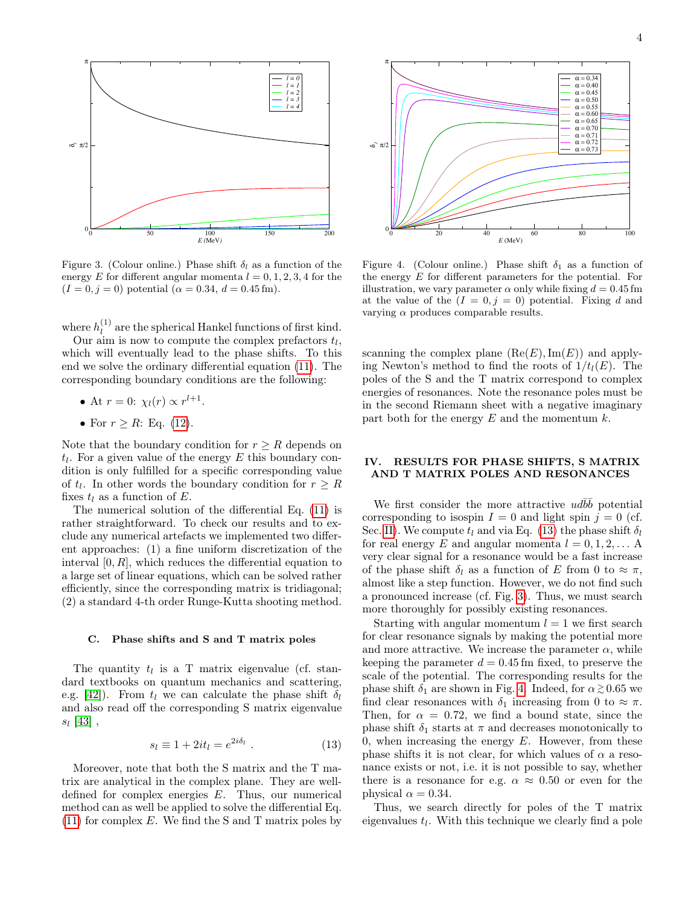

<span id="page-3-2"></span>Figure 3. (Colour online.) Phase shift  $\delta_l$  as a function of the energy E for different angular momenta  $l = 0, 1, 2, 3, 4$  for the  $(I = 0, j = 0)$  potential  $(\alpha = 0.34, d = 0.45$  fm).

where  $h_l^{(1)}$  $\binom{1}{l}$  are the spherical Hankel functions of first kind.

Our aim is now to compute the complex prefactors  $t_l$ , which will eventually lead to the phase shifts. To this end we solve the ordinary differential equation [\(11\)](#page-2-9). The corresponding boundary conditions are the following:

• At 
$$
r = 0
$$
:  $\chi_l(r) \propto r^{l+1}$ .

• For  $r \geq R$ : Eq. [\(12\)](#page-2-10).

Note that the boundary condition for  $r \geq R$  depends on  $t_l$ . For a given value of the energy  $E$  this boundary condition is only fulfilled for a specific corresponding value of  $t_l$ . In other words the boundary condition for  $r \geq R$ fixes  $t_l$  as a function of E.

The numerical solution of the differential Eq. [\(11\)](#page-2-9) is rather straightforward. To check our results and to exclude any numerical artefacts we implemented two different approaches: (1) a fine uniform discretization of the interval  $[0, R]$ , which reduces the differential equation to a large set of linear equations, which can be solved rather efficiently, since the corresponding matrix is tridiagonal; (2) a standard 4-th order Runge-Kutta shooting method.

#### C. Phase shifts and S and T matrix poles

The quantity  $t_l$  is a T matrix eigenvalue (cf. standard textbooks on quantum mechanics and scattering, e.g. [\[42\]](#page-6-11)). From  $t_l$  we can calculate the phase shift  $\delta_l$ and also read off the corresponding S matrix eigenvalue  $s_l$  [\[43\]](#page-6-12),

<span id="page-3-1"></span>
$$
s_l \equiv 1 + 2it_l = e^{2i\delta_l} \ . \tag{13}
$$

Moreover, note that both the S matrix and the T matrix are analytical in the complex plane. They are welldefined for complex energies E. Thus, our numerical method can as well be applied to solve the differential Eq.  $(11)$  for complex E. We find the S and T matrix poles by



<span id="page-3-3"></span>Figure 4. (Colour online.) Phase shift  $\delta_1$  as a function of the energy E for different parameters for the potential. For illustration, we vary parameter  $\alpha$  only while fixing  $d = 0.45$  fm at the value of the  $(I = 0, j = 0)$  potential. Fixing d and varying  $\alpha$  produces comparable results.

scanning the complex plane  $(Re(E), Im(E))$  and applying Newton's method to find the roots of  $1/t_l(E)$ . The poles of the S and the T matrix correspond to complex energies of resonances. Note the resonance poles must be in the second Riemann sheet with a negative imaginary part both for the energy  $E$  and the momentum  $k$ .

# <span id="page-3-0"></span>IV. RESULTS FOR PHASE SHIFTS, S MATRIX AND T MATRIX POLES AND RESONANCES

We first consider the more attractive  $ud\bar{b}\bar{b}$  potential corresponding to isospin  $I = 0$  and light spin  $j = 0$  (cf. Sec. [II\)](#page-0-5). We compute  $t_l$  and via Eq. [\(13\)](#page-3-1) the phase shift  $\delta_l$ for real energy E and angular momenta  $l = 0, 1, 2, \ldots$  A very clear signal for a resonance would be a fast increase of the phase shift  $\delta_l$  as a function of E from 0 to  $\approx \pi$ , almost like a step function. However, we do not find such a pronounced increase (cf. Fig. [3\)](#page-3-2). Thus, we must search more thoroughly for possibly existing resonances.

Starting with angular momentum  $l = 1$  we first search for clear resonance signals by making the potential more and more attractive. We increase the parameter  $\alpha$ , while keeping the parameter  $d = 0.45$  fm fixed, to preserve the scale of the potential. The corresponding results for the phase shift  $\delta_1$  are shown in Fig. [4.](#page-3-3) Indeed, for  $\alpha \gtrsim 0.65$  we find clear resonances with  $\delta_1$  increasing from 0 to  $\approx \pi$ . Then, for  $\alpha = 0.72$ , we find a bound state, since the phase shift  $\delta_1$  starts at  $\pi$  and decreases monotonically to 0, when increasing the energy  $E$ . However, from these phase shifts it is not clear, for which values of  $\alpha$  a resonance exists or not, i.e. it is not possible to say, whether there is a resonance for e.g.  $\alpha \approx 0.50$  or even for the physical  $\alpha = 0.34$ .

Thus, we search directly for poles of the T matrix eigenvalues  $t_l$ . With this technique we clearly find a pole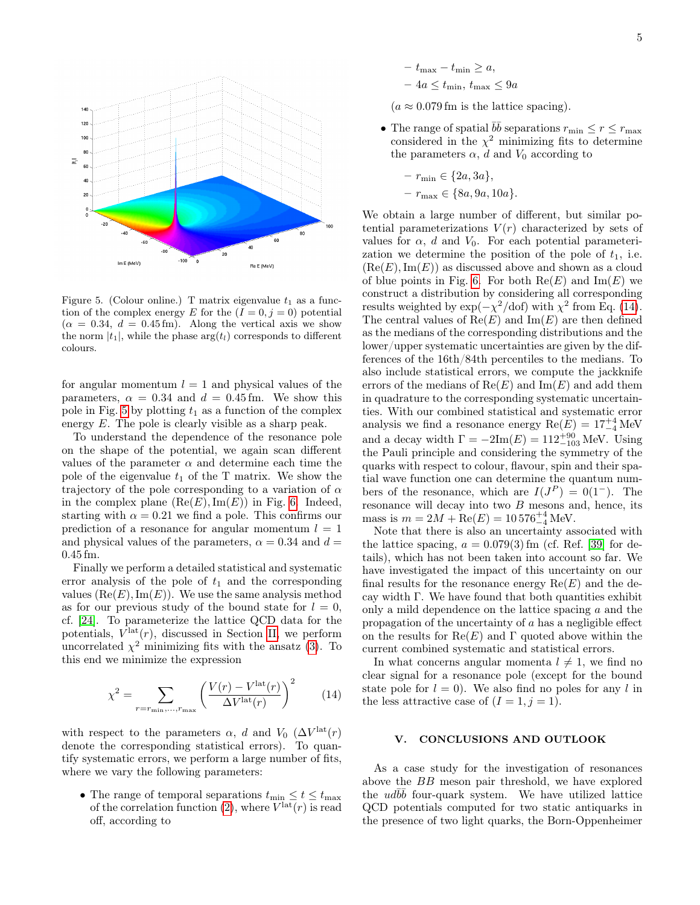

<span id="page-4-1"></span>Figure 5. (Colour online.) T matrix eigenvalue  $t_1$  as a function of the complex energy E for the  $(I = 0, j = 0)$  potential  $(\alpha = 0.34, d = 0.45$  fm). Along the vertical axis we show the norm  $|t_1|$ , while the phase  $\arg(t_l)$  corresponds to different colours.

for angular momentum  $l = 1$  and physical values of the parameters,  $\alpha = 0.34$  and  $d = 0.45$  fm. We show this pole in Fig. [5](#page-4-1) by plotting  $t_1$  as a function of the complex energy E. The pole is clearly visible as a sharp peak.

To understand the dependence of the resonance pole on the shape of the potential, we again scan different values of the parameter  $\alpha$  and determine each time the pole of the eigenvalue  $t_1$  of the T matrix. We show the trajectory of the pole corresponding to a variation of  $\alpha$ in the complex plane  $(Re(E), Im(E))$  in Fig. [6.](#page-5-14) Indeed, starting with  $\alpha = 0.21$  we find a pole. This confirms our prediction of a resonance for angular momentum  $l = 1$ and physical values of the parameters,  $\alpha = 0.34$  and  $d =$ 0.45 fm.

Finally we perform a detailed statistical and systematic error analysis of the pole of  $t_1$  and the corresponding values  $(Re(E), Im(E))$ . We use the same analysis method as for our previous study of the bound state for  $l = 0$ , cf. [\[24\]](#page-5-13). To parameterize the lattice QCD data for the potentials,  $V<sup>lat</sup>(r)$ , discussed in Section [II,](#page-0-5) we perform uncorrelated  $\chi^2$  minimizing fits with the ansatz [\(3\)](#page-1-2). To this end we minimize the expression

<span id="page-4-2"></span>
$$
\chi^2 = \sum_{r = r_{\min}, \dots, r_{\max}} \left( \frac{V(r) - V^{\text{lat}}(r)}{\Delta V^{\text{lat}}(r)} \right)^2 \tag{14}
$$

with respect to the parameters  $\alpha$ , d and  $V_0$  ( $\Delta V^{\text{lat}}(r)$ denote the corresponding statistical errors). To quantify systematic errors, we perform a large number of fits, where we vary the following parameters:

• The range of temporal separations  $t_{\min} \leq t \leq t_{\max}$ of the correlation function [\(2\)](#page-1-3), where  $V^{\text{lat}}(r)$  is read off, according to

- $t_{\text{max}} t_{\text{min}} \geq a,$  $-4a \leq t_{\min}, t_{\max} \leq 9a$
- $(a \approx 0.079 \,\mathrm{fm}$  is the lattice spacing).
- The range of spatial  $b\bar{b}$  separations  $r_{\min} \leq r \leq r_{\max}$ considered in the  $\chi^2$  minimizing fits to determine the parameters  $\alpha$ , d and  $V_0$  according to

$$
- r_{\min} \in \{2a, 3a\},
$$
  

$$
- r_{\max} \in \{8a, 9a, 10a\}.
$$

We obtain a large number of different, but similar potential parameterizations  $V(r)$  characterized by sets of values for  $\alpha$ , d and  $V_0$ . For each potential parameterization we determine the position of the pole of  $t_1$ , i.e.  $(Re(E), Im(E))$  as discussed above and shown as a cloud of blue points in Fig. [6.](#page-5-14) For both  $\text{Re}(E)$  and  $\text{Im}(E)$  we construct a distribution by considering all corresponding results weighted by  $\exp(-\chi^2/\text{dof})$  with  $\chi^2$  from Eq. [\(14\)](#page-4-2). The central values of  $\text{Re}(E)$  and  $\text{Im}(E)$  are then defined as the medians of the corresponding distributions and the lower/upper systematic uncertainties are given by the differences of the 16th/84th percentiles to the medians. To also include statistical errors, we compute the jackknife errors of the medians of  $\text{Re}(E)$  and  $\text{Im}(E)$  and add them in quadrature to the corresponding systematic uncertainties. With our combined statistical and systematic error analysis we find a resonance energy  $\text{Re}(E) = 17^{+4}_{-4}\,\text{MeV}$ and a decay width  $\Gamma = -2\text{Im}(E) = 112^{+90}_{-103}$  MeV. Using the Pauli principle and considering the symmetry of the quarks with respect to colour, flavour, spin and their spatial wave function one can determine the quantum numbers of the resonance, which are  $I(J^P) = 0(1^-)$ . The resonance will decay into two  $B$  mesons and, hence, its mass is  $m = 2M + \text{Re}(E) = 10576_{-4}^{+4} \text{ MeV}.$ 

Note that there is also an uncertainty associated with the lattice spacing,  $a = 0.079(3)$  fm (cf. Ref. [\[39\]](#page-6-8) for details), which has not been taken into account so far. We have investigated the impact of this uncertainty on our final results for the resonance energy  $\text{Re}(E)$  and the decay width Γ. We have found that both quantities exhibit only a mild dependence on the lattice spacing a and the propagation of the uncertainty of a has a negligible effect on the results for  $\text{Re}(E)$  and  $\Gamma$  quoted above within the current combined systematic and statistical errors.

In what concerns angular momenta  $l \neq 1$ , we find no clear signal for a resonance pole (except for the bound state pole for  $l = 0$ ). We also find no poles for any l in the less attractive case of  $(I = 1, j = 1)$ .

## <span id="page-4-0"></span>V. CONCLUSIONS AND OUTLOOK

As a case study for the investigation of resonances above the BB meson pair threshold, we have explored the  $ud\overline{b}\overline{b}$  four-quark system. We have utilized lattice QCD potentials computed for two static antiquarks in the presence of two light quarks, the Born-Oppenheimer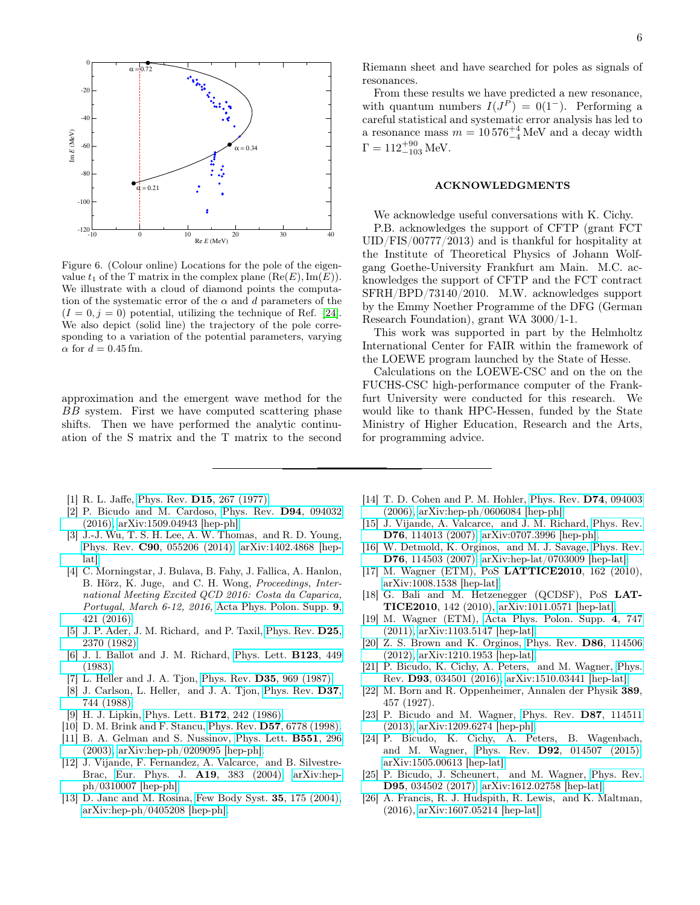

<span id="page-5-14"></span>Figure 6. (Colour online) Locations for the pole of the eigenvalue  $t_1$  of the T matrix in the complex plane  $(Re(E), Im(E)).$ We illustrate with a cloud of diamond points the computation of the systematic error of the  $\alpha$  and d parameters of the  $(I = 0, j = 0)$  potential, utilizing the technique of Ref. [\[24\]](#page-5-13). We also depict (solid line) the trajectory of the pole corresponding to a variation of the potential parameters, varying  $\alpha$  for  $d = 0.45$  fm.

approximation and the emergent wave method for the BB system. First we have computed scattering phase shifts. Then we have performed the analytic continuation of the S matrix and the T matrix to the second

- <span id="page-5-0"></span>[1] R. L. Jaffe, Phys. Rev. D15[, 267 \(1977\).](http://dx.doi.org/10.1103/PhysRevD.15.267)
- <span id="page-5-1"></span>[2] P. Bicudo and M. Cardoso, [Phys. Rev.](http://dx.doi.org/10.1103/PhysRevD.94.094032) D94, 094032 [\(2016\),](http://dx.doi.org/10.1103/PhysRevD.94.094032) [arXiv:1509.04943 \[hep-ph\].](http://arxiv.org/abs/1509.04943)
- <span id="page-5-2"></span>[3] J.-J. Wu, T. S. H. Lee, A. W. Thomas, and R. D. Young, Phys. Rev. C90[, 055206 \(2014\),](http://dx.doi.org/10.1103/PhysRevC.90.055206) [arXiv:1402.4868 \[hep](http://arxiv.org/abs/1402.4868)[lat\].](http://arxiv.org/abs/1402.4868)
- <span id="page-5-3"></span>[4] C. Morningstar, J. Bulava, B. Fahy, J. Fallica, A. Hanlon, B. Hörz, K. Juge, and C. H. Wong, Proceedings, International Meeting Excited QCD 2016: Costa da Caparica, Portugal, March 6-12, 2016, [Acta Phys. Polon. Supp.](http://dx.doi.org/10.5506/APhysPolBSupp.9.421) 9, [421 \(2016\).](http://dx.doi.org/10.5506/APhysPolBSupp.9.421)
- <span id="page-5-4"></span>[5] J. P. Ader, J. M. Richard, and P. Taxil, [Phys. Rev.](http://dx.doi.org/10.1103/PhysRevD.25.2370) D25, [2370 \(1982\).](http://dx.doi.org/10.1103/PhysRevD.25.2370)
- [6] J. l. Ballot and J. M. Richard, [Phys. Lett.](http://dx.doi.org/10.1016/0370-2693(83)90991-7) B123, 449 [\(1983\).](http://dx.doi.org/10.1016/0370-2693(83)90991-7)
- [7] L. Heller and J. A. Tjon, Phys. Rev. D35[, 969 \(1987\).](http://dx.doi.org/10.1103/PhysRevD.35.969)
- [8] J. Carlson, L. Heller, and J. A. Tjon, [Phys. Rev.](http://dx.doi.org/10.1103/PhysRevD.37.744) D37, [744 \(1988\).](http://dx.doi.org/10.1103/PhysRevD.37.744)
- [9] H. J. Lipkin, Phys. Lett. B172[, 242 \(1986\).](http://dx.doi.org/10.1016/0370-2693(86)90843-9)
- [10] D. M. Brink and F. Stancu, Phys. Rev. D57[, 6778 \(1998\).](http://dx.doi.org/10.1103/PhysRevD.57.6778)
- [11] B. A. Gelman and S. Nussinov, [Phys. Lett.](http://dx.doi.org/10.1016/S0370-2693(02)03069-1) B551, 296 [\(2003\),](http://dx.doi.org/10.1016/S0370-2693(02)03069-1) [arXiv:hep-ph/0209095 \[hep-ph\].](http://arxiv.org/abs/hep-ph/0209095)
- [12] J. Vijande, F. Fernandez, A. Valcarce, and B. Silvestre-Brac, [Eur. Phys. J.](http://dx.doi.org/10.1140/epja/i2003-10128-9) A19, 383 (2004), [arXiv:hep](http://arxiv.org/abs/hep-ph/0310007)[ph/0310007 \[hep-ph\].](http://arxiv.org/abs/hep-ph/0310007)
- [13] D. Janc and M. Rosina, [Few Body Syst.](http://dx.doi.org/10.1007/s00601-004-0068-9) **35**, 175 (2004), [arXiv:hep-ph/0405208 \[hep-ph\].](http://arxiv.org/abs/hep-ph/0405208)

From these results we have predicted a new resonance, with quantum numbers  $I(J^P) = 0(1^-)$ . Performing a careful statistical and systematic error analysis has led to a resonance mass  $m = 10576^{+4}_{-4}$  MeV and a decay width  $\Gamma = 112^{+90}_{-103}$  MeV.

#### ACKNOWLEDGMENTS

We acknowledge useful conversations with K. Cichy.

P.B. acknowledges the support of CFTP (grant FCT UID/FIS/00777/2013) and is thankful for hospitality at the Institute of Theoretical Physics of Johann Wolfgang Goethe-University Frankfurt am Main. M.C. acknowledges the support of CFTP and the FCT contract SFRH/BPD/73140/2010. M.W. acknowledges support by the Emmy Noether Programme of the DFG (German Research Foundation), grant WA 3000/1-1.

This work was supported in part by the Helmholtz International Center for FAIR within the framework of the LOEWE program launched by the State of Hesse.

Calculations on the LOEWE-CSC and on the on the FUCHS-CSC high-performance computer of the Frankfurt University were conducted for this research. We would like to thank HPC-Hessen, funded by the State Ministry of Higher Education, Research and the Arts, for programming advice.

- [14] T. D. Cohen and P. M. Hohler, [Phys. Rev.](http://dx.doi.org/10.1103/PhysRevD.74.094003) D74, 094003 [\(2006\),](http://dx.doi.org/10.1103/PhysRevD.74.094003) [arXiv:hep-ph/0606084 \[hep-ph\].](http://arxiv.org/abs/hep-ph/0606084)
- <span id="page-5-5"></span>[15] J. Vijande, A. Valcarce, and J. M. Richard, [Phys. Rev.](http://dx.doi.org/10.1103/PhysRevD.76.114013) D76[, 114013 \(2007\),](http://dx.doi.org/10.1103/PhysRevD.76.114013) [arXiv:0707.3996 \[hep-ph\].](http://arxiv.org/abs/0707.3996)
- <span id="page-5-6"></span>[16] W. Detmold, K. Orginos, and M. J. Savage, [Phys. Rev.](http://dx.doi.org/10.1103/PhysRevD.76.114503) D76[, 114503 \(2007\),](http://dx.doi.org/10.1103/PhysRevD.76.114503) [arXiv:hep-lat/0703009 \[hep-lat\].](http://arxiv.org/abs/hep-lat/0703009)
- [17] M. Wagner (ETM), PoS LATTICE2010, 162 (2010), [arXiv:1008.1538 \[hep-lat\].](http://arxiv.org/abs/1008.1538)
- [18] G. Bali and M. Hetzenegger (QCDSF), PoS LAT-TICE2010, 142 (2010), [arXiv:1011.0571 \[hep-lat\].](http://arxiv.org/abs/1011.0571)
- [19] M. Wagner (ETM), [Acta Phys. Polon. Supp.](http://dx.doi.org/ 10.5506/APhysPolBSupp.4.747) 4, 747 [\(2011\),](http://dx.doi.org/ 10.5506/APhysPolBSupp.4.747) [arXiv:1103.5147 \[hep-lat\].](http://arxiv.org/abs/1103.5147)
- <span id="page-5-9"></span>[20] Z. S. Brown and K. Orginos, [Phys. Rev.](http://dx.doi.org/10.1103/PhysRevD.86.114506) D86, 114506 [\(2012\),](http://dx.doi.org/10.1103/PhysRevD.86.114506) [arXiv:1210.1953 \[hep-lat\].](http://arxiv.org/abs/1210.1953)
- <span id="page-5-7"></span>[21] P. Bicudo, K. Cichy, A. Peters, and M. Wagner, [Phys.](http://dx.doi.org/ 10.1103/PhysRevD.93.034501) Rev. D93[, 034501 \(2016\),](http://dx.doi.org/ 10.1103/PhysRevD.93.034501) [arXiv:1510.03441 \[hep-lat\].](http://arxiv.org/abs/1510.03441)
- <span id="page-5-8"></span>[22] M. Born and R. Oppenheimer, Annalen der Physik 389, 457 (1927).
- <span id="page-5-10"></span>[23] P. Bicudo and M. Wagner, [Phys. Rev.](http://dx.doi.org/10.1103/PhysRevD.87.114511) D87, 114511 [\(2013\),](http://dx.doi.org/10.1103/PhysRevD.87.114511) [arXiv:1209.6274 \[hep-ph\].](http://arxiv.org/abs/1209.6274)
- <span id="page-5-13"></span>[24] P. Bicudo, K. Cichy, A. Peters, B. Wagenbach, and M. Wagner, Phys. Rev. D92[, 014507 \(2015\),](http://dx.doi.org/ 10.1103/PhysRevD.92.014507) [arXiv:1505.00613 \[hep-lat\].](http://arxiv.org/abs/1505.00613)
- <span id="page-5-11"></span>[25] P. Bicudo, J. Scheunert, and M. Wagner, [Phys. Rev.](http://dx.doi.org/10.1103/PhysRevD.95.034502) D95[, 034502 \(2017\),](http://dx.doi.org/10.1103/PhysRevD.95.034502) [arXiv:1612.02758 \[hep-lat\].](http://arxiv.org/abs/1612.02758)
- <span id="page-5-12"></span>[26] A. Francis, R. J. Hudspith, R. Lewis, and K. Maltman, (2016), [arXiv:1607.05214 \[hep-lat\].](http://arxiv.org/abs/1607.05214)